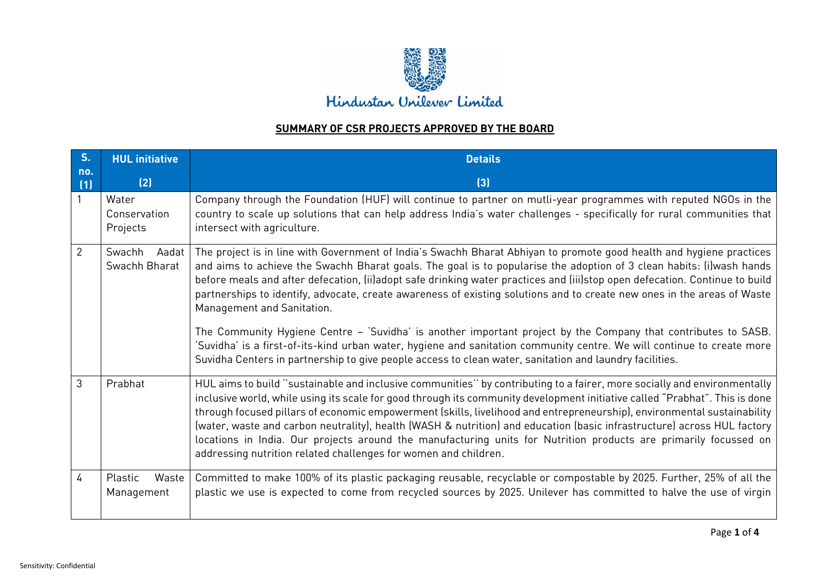

## **SUMMARY OF CSR PROJECTS APPROVED BY THE BOARD**

| S <sub>1</sub> | <b>HUL</b> initiative             | <b>Details</b>                                                                                                                                                                                                                                                                                                                                                                                                                                                                                                                                                                                                                                                                                       |
|----------------|-----------------------------------|------------------------------------------------------------------------------------------------------------------------------------------------------------------------------------------------------------------------------------------------------------------------------------------------------------------------------------------------------------------------------------------------------------------------------------------------------------------------------------------------------------------------------------------------------------------------------------------------------------------------------------------------------------------------------------------------------|
| no.<br>(1)     | (2)                               | $[3]$                                                                                                                                                                                                                                                                                                                                                                                                                                                                                                                                                                                                                                                                                                |
|                | Water<br>Conservation<br>Projects | Company through the Foundation (HUF) will continue to partner on mutli-year programmes with reputed NGOs in the<br>country to scale up solutions that can help address India's water challenges - specifically for rural communities that<br>intersect with agriculture.                                                                                                                                                                                                                                                                                                                                                                                                                             |
| $\overline{2}$ | Swachh<br>Aadat<br>Swachh Bharat  | The project is in line with Government of India's Swachh Bharat Abhiyan to promote good health and hygiene practices<br>and aims to achieve the Swachh Bharat goals. The goal is to popularise the adoption of 3 clean habits: (i)wash hands<br>before meals and after defecation, (ii)adopt safe drinking water practices and (iii)stop open defecation. Continue to build<br>partnerships to identify, advocate, create awareness of existing solutions and to create new ones in the areas of Waste<br>Management and Sanitation.                                                                                                                                                                 |
|                |                                   | The Community Hygiene Centre - 'Suvidha' is another important project by the Company that contributes to SASB.<br>'Suvidha' is a first-of-its-kind urban water, hygiene and sanitation community centre. We will continue to create more<br>Suvidha Centers in partnership to give people access to clean water, sanitation and laundry facilities.                                                                                                                                                                                                                                                                                                                                                  |
| 3              | Prabhat                           | HUL aims to build "sustainable and inclusive communities" by contributing to a fairer, more socially and environmentally<br>inclusive world, while using its scale for good through its community development initiative called "Prabhat". This is done<br>through focused pillars of economic empowerment (skills, livelihood and entrepreneurship), environmental sustainability<br>(water, waste and carbon neutrality), health (WASH & nutrition) and education (basic infrastructure) across HUL factory<br>locations in India. Our projects around the manufacturing units for Nutrition products are primarily focussed on<br>addressing nutrition related challenges for women and children. |
| $\overline{4}$ | Plastic<br>Waste<br>Management    | Committed to make 100% of its plastic packaging reusable, recyclable or compostable by 2025. Further, 25% of all the<br>plastic we use is expected to come from recycled sources by 2025. Unilever has committed to halve the use of virgin                                                                                                                                                                                                                                                                                                                                                                                                                                                          |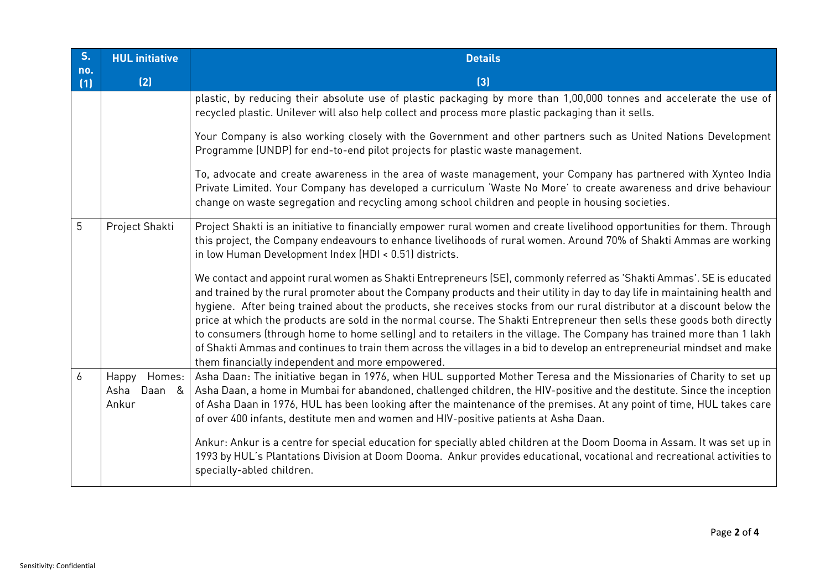| S <sub>n</sub> | <b>HUL</b> initiative                      | <b>Details</b>                                                                                                                                                                                                                                                                                                                                                                                                                                                                                                                                                                                                                                                                                                                                                                                                    |
|----------------|--------------------------------------------|-------------------------------------------------------------------------------------------------------------------------------------------------------------------------------------------------------------------------------------------------------------------------------------------------------------------------------------------------------------------------------------------------------------------------------------------------------------------------------------------------------------------------------------------------------------------------------------------------------------------------------------------------------------------------------------------------------------------------------------------------------------------------------------------------------------------|
| no.<br>(1)     | (2)                                        | $[3]$                                                                                                                                                                                                                                                                                                                                                                                                                                                                                                                                                                                                                                                                                                                                                                                                             |
|                |                                            | plastic, by reducing their absolute use of plastic packaging by more than 1,00,000 tonnes and accelerate the use of<br>recycled plastic. Unilever will also help collect and process more plastic packaging than it sells.                                                                                                                                                                                                                                                                                                                                                                                                                                                                                                                                                                                        |
|                |                                            | Your Company is also working closely with the Government and other partners such as United Nations Development<br>Programme (UNDP) for end-to-end pilot projects for plastic waste management.                                                                                                                                                                                                                                                                                                                                                                                                                                                                                                                                                                                                                    |
|                |                                            | To, advocate and create awareness in the area of waste management, your Company has partnered with Xynteo India<br>Private Limited. Your Company has developed a curriculum 'Waste No More' to create awareness and drive behaviour<br>change on waste segregation and recycling among school children and people in housing societies.                                                                                                                                                                                                                                                                                                                                                                                                                                                                           |
| 5              | Project Shakti                             | Project Shakti is an initiative to financially empower rural women and create livelihood opportunities for them. Through<br>this project, the Company endeavours to enhance livelihoods of rural women. Around 70% of Shakti Ammas are working<br>in low Human Development Index (HDI < 0.51) districts.                                                                                                                                                                                                                                                                                                                                                                                                                                                                                                          |
|                |                                            | We contact and appoint rural women as Shakti Entrepreneurs (SE), commonly referred as 'Shakti Ammas'. SE is educated<br>and trained by the rural promoter about the Company products and their utility in day to day life in maintaining health and<br>hygiene. After being trained about the products, she receives stocks from our rural distributor at a discount below the<br>price at which the products are sold in the normal course. The Shakti Entrepreneur then sells these goods both directly<br>to consumers (through home to home selling) and to retailers in the village. The Company has trained more than 1 lakh<br>of Shakti Ammas and continues to train them across the villages in a bid to develop an entrepreneurial mindset and make<br>them financially independent and more empowered. |
| 6              | Homes:<br>Happy<br>Daan &<br>Asha<br>Ankur | Asha Daan: The initiative began in 1976, when HUL supported Mother Teresa and the Missionaries of Charity to set up<br>Asha Daan, a home in Mumbai for abandoned, challenged children, the HIV-positive and the destitute. Since the inception<br>of Asha Daan in 1976, HUL has been looking after the maintenance of the premises. At any point of time, HUL takes care<br>of over 400 infants, destitute men and women and HIV-positive patients at Asha Daan.                                                                                                                                                                                                                                                                                                                                                  |
|                |                                            | Ankur: Ankur is a centre for special education for specially abled children at the Doom Dooma in Assam. It was set up in<br>1993 by HUL's Plantations Division at Doom Dooma. Ankur provides educational, vocational and recreational activities to<br>specially-abled children.                                                                                                                                                                                                                                                                                                                                                                                                                                                                                                                                  |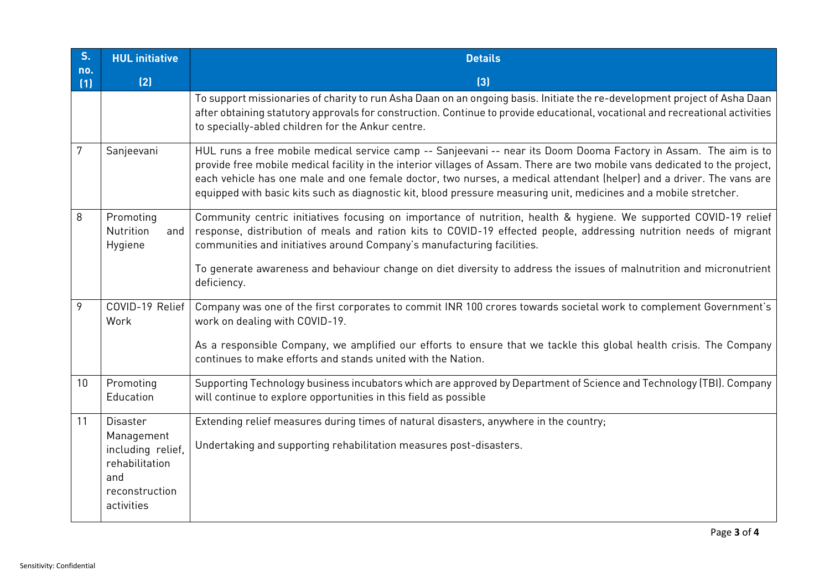| S <sub>1</sub> | <b>HUL</b> initiative                                                      | <b>Details</b>                                                                                                                                                                                                                                                                                                                                                                                                                                                                               |
|----------------|----------------------------------------------------------------------------|----------------------------------------------------------------------------------------------------------------------------------------------------------------------------------------------------------------------------------------------------------------------------------------------------------------------------------------------------------------------------------------------------------------------------------------------------------------------------------------------|
| no.<br>(1)     | (2)                                                                        | $[3]$                                                                                                                                                                                                                                                                                                                                                                                                                                                                                        |
|                |                                                                            | To support missionaries of charity to run Asha Daan on an ongoing basis. Initiate the re-development project of Asha Daan<br>after obtaining statutory approvals for construction. Continue to provide educational, vocational and recreational activities<br>to specially-abled children for the Ankur centre.                                                                                                                                                                              |
| 7              | Sanjeevani                                                                 | HUL runs a free mobile medical service camp -- Sanjeevani -- near its Doom Dooma Factory in Assam. The aim is to<br>provide free mobile medical facility in the interior villages of Assam. There are two mobile vans dedicated to the project,<br>each vehicle has one male and one female doctor, two nurses, a medical attendant (helper) and a driver. The vans are<br>equipped with basic kits such as diagnostic kit, blood pressure measuring unit, medicines and a mobile stretcher. |
| 8              | Promoting<br>Nutrition<br>and<br>Hygiene                                   | Community centric initiatives focusing on importance of nutrition, health & hygiene. We supported COVID-19 relief<br>response, distribution of meals and ration kits to COVID-19 effected people, addressing nutrition needs of migrant<br>communities and initiatives around Company's manufacturing facilities.                                                                                                                                                                            |
|                |                                                                            | To generate awareness and behaviour change on diet diversity to address the issues of malnutrition and micronutrient<br>deficiency.                                                                                                                                                                                                                                                                                                                                                          |
| 9              | COVID-19 Relief<br>Work                                                    | Company was one of the first corporates to commit INR 100 crores towards societal work to complement Government's<br>work on dealing with COVID-19.                                                                                                                                                                                                                                                                                                                                          |
|                |                                                                            | As a responsible Company, we amplified our efforts to ensure that we tackle this global health crisis. The Company<br>continues to make efforts and stands united with the Nation.                                                                                                                                                                                                                                                                                                           |
| 10             | Promoting<br>Education                                                     | Supporting Technology business incubators which are approved by Department of Science and Technology (TBI). Company<br>will continue to explore opportunities in this field as possible                                                                                                                                                                                                                                                                                                      |
| 11             | <b>Disaster</b>                                                            | Extending relief measures during times of natural disasters, anywhere in the country;                                                                                                                                                                                                                                                                                                                                                                                                        |
|                | Management<br>including relief,<br>rehabilitation<br>and<br>reconstruction | Undertaking and supporting rehabilitation measures post-disasters.                                                                                                                                                                                                                                                                                                                                                                                                                           |
|                | activities                                                                 |                                                                                                                                                                                                                                                                                                                                                                                                                                                                                              |